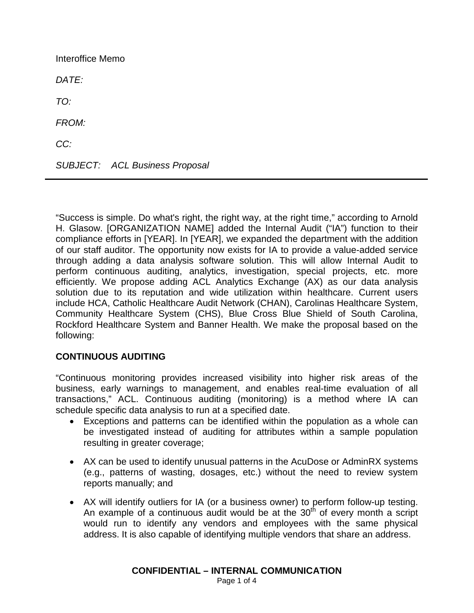Interoffice Memo *DATE: TO: FROM: CC: SUBJECT: ACL Business Proposal*

"Success is simple. Do what's right, the right way, at the right time," according to Arnold H. Glasow. [ORGANIZATION NAME] added the Internal Audit ("IA") function to their compliance efforts in [YEAR]. In [YEAR], we expanded the department with the addition of our staff auditor. The opportunity now exists for IA to provide a value-added service through adding a data analysis software solution. This will allow Internal Audit to perform continuous auditing, analytics, investigation, special projects, etc. more efficiently. We propose adding ACL Analytics Exchange (AX) as our data analysis solution due to its reputation and wide utilization within healthcare. Current users include HCA, Catholic Healthcare Audit Network (CHAN), Carolinas Healthcare System, Community Healthcare System (CHS), Blue Cross Blue Shield of South Carolina, Rockford Healthcare System and Banner Health. We make the proposal based on the following:

### **CONTINUOUS AUDITING**

"Continuous monitoring provides increased visibility into higher risk areas of the business, early warnings to management, and enables real-time evaluation of all transactions," ACL. Continuous auditing (monitoring) is a method where IA can schedule specific data analysis to run at a specified date.

- Exceptions and patterns can be identified within the population as a whole can be investigated instead of auditing for attributes within a sample population resulting in greater coverage;
- AX can be used to identify unusual patterns in the AcuDose or AdminRX systems (e.g., patterns of wasting, dosages, etc.) without the need to review system reports manually; and
- AX will identify outliers for IA (or a business owner) to perform follow-up testing. An example of a continuous audit would be at the  $30<sup>th</sup>$  of every month a script would run to identify any vendors and employees with the same physical address. It is also capable of identifying multiple vendors that share an address.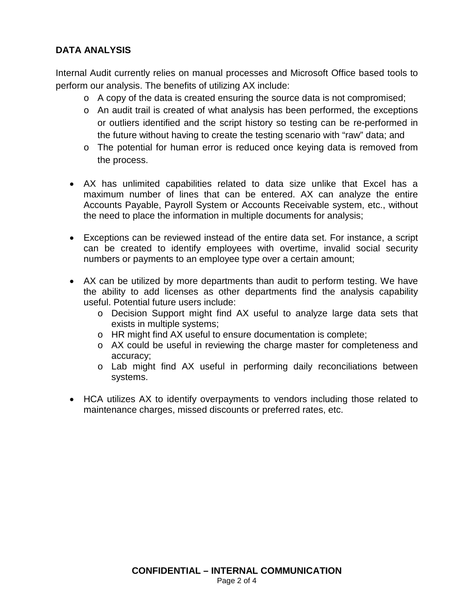# **DATA ANALYSIS**

Internal Audit currently relies on manual processes and Microsoft Office based tools to perform our analysis. The benefits of utilizing AX include:

- o A copy of the data is created ensuring the source data is not compromised;
- o An audit trail is created of what analysis has been performed, the exceptions or outliers identified and the script history so testing can be re-performed in the future without having to create the testing scenario with "raw" data; and
- o The potential for human error is reduced once keying data is removed from the process.
- AX has unlimited capabilities related to data size unlike that Excel has a maximum number of lines that can be entered. AX can analyze the entire Accounts Payable, Payroll System or Accounts Receivable system, etc., without the need to place the information in multiple documents for analysis;
- Exceptions can be reviewed instead of the entire data set. For instance, a script can be created to identify employees with overtime, invalid social security numbers or payments to an employee type over a certain amount;
- AX can be utilized by more departments than audit to perform testing. We have the ability to add licenses as other departments find the analysis capability useful. Potential future users include:
	- o Decision Support might find AX useful to analyze large data sets that exists in multiple systems;
	- o HR might find AX useful to ensure documentation is complete;
	- o AX could be useful in reviewing the charge master for completeness and accuracy;
	- o Lab might find AX useful in performing daily reconciliations between systems.
- HCA utilizes AX to identify overpayments to vendors including those related to maintenance charges, missed discounts or preferred rates, etc.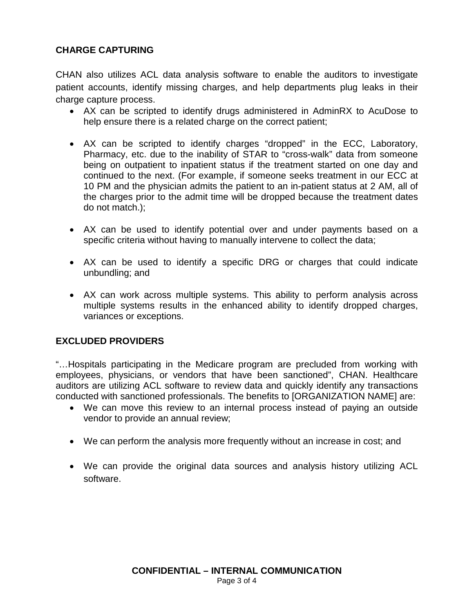# **CHARGE CAPTURING**

CHAN also utilizes ACL data analysis software to enable the auditors to investigate patient accounts, identify missing charges, and help departments plug leaks in their charge capture process.

- AX can be scripted to identify drugs administered in AdminRX to AcuDose to help ensure there is a related charge on the correct patient;
- AX can be scripted to identify charges "dropped" in the ECC, Laboratory, Pharmacy, etc. due to the inability of STAR to "cross-walk" data from someone being on outpatient to inpatient status if the treatment started on one day and continued to the next. (For example, if someone seeks treatment in our ECC at 10 PM and the physician admits the patient to an in-patient status at 2 AM, all of the charges prior to the admit time will be dropped because the treatment dates do not match.);
- AX can be used to identify potential over and under payments based on a specific criteria without having to manually intervene to collect the data;
- AX can be used to identify a specific DRG or charges that could indicate unbundling; and
- AX can work across multiple systems. This ability to perform analysis across multiple systems results in the enhanced ability to identify dropped charges, variances or exceptions.

### **EXCLUDED PROVIDERS**

"…Hospitals participating in the Medicare program are precluded from working with employees, physicians, or vendors that have been sanctioned", CHAN. Healthcare auditors are utilizing ACL software to review data and quickly identify any transactions conducted with sanctioned professionals. The benefits to [ORGANIZATION NAME] are:

- We can move this review to an internal process instead of paying an outside vendor to provide an annual review;
- We can perform the analysis more frequently without an increase in cost; and
- We can provide the original data sources and analysis history utilizing ACL software.